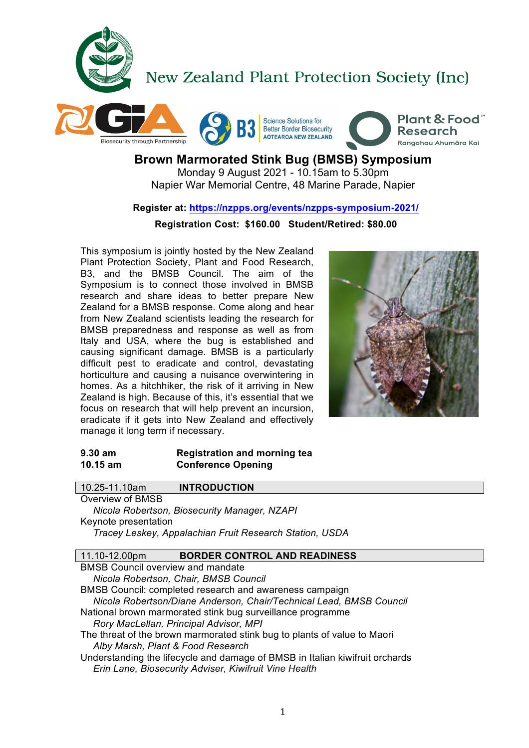



# **Brown Marmorated Stink Bug (BMSB) Symposium**  Monday 9 August 2021 - 10.15am to 5.30pm

Napier War Memorial Centre, 48 Marine Parade, Napier

# **Register at: https://nzpps.org/events/nzpps-symposium-2021/**

# **Registration Cost: \$160.00 Student/Retired: \$80.00**

This symposium is jointly hosted by the New Zealand Plant Protection Society, Plant and Food Research, B3, and the BMSB Council. The aim of the Symposium is to connect those involved in BMSB research and share ideas to better prepare New Zealand for a BMSB response. Come along and hear from New Zealand scientists leading the research for BMSB preparedness and response as well as from Italy and USA, where the bug is established and causing significant damage. BMSB is a particularly difficult pest to eradicate and control, devastating horticulture and causing a nuisance overwintering in homes. As a hitchhiker, the risk of it arriving in New Zealand is high. Because of this, it's essential that we focus on research that will help prevent an incursion, eradicate if it gets into New Zealand and effectively manage it long term if necessary.



### **9.30 am Registration and morning tea 10.15 am Conference Opening**

| 10.25-11.10am<br><b>INTRODUCTION</b>                                |  |  |
|---------------------------------------------------------------------|--|--|
| Overview of BMSB                                                    |  |  |
| Nicola Robertson, Biosecurity Manager, NZAPI                        |  |  |
| Keynote presentation                                                |  |  |
| Tracey Leskey, Appalachian Fruit Research Station, USDA             |  |  |
|                                                                     |  |  |
| 11.10-12.00pm<br><b>BORDER CONTROL AND READINESS</b>                |  |  |
| <b>BMSB Council overview and mandate</b>                            |  |  |
| Nicola Robertson, Chair, BMSB Council                               |  |  |
| BMSB Council: completed research and awareness campaign             |  |  |
| Nicola Robertson/Diane Anderson, Chair/Technical Lead, BMSB Council |  |  |
| National brown marmorated stink bug surveillance programme          |  |  |
| Rory MacLellan, Principal Advisor, MPI                              |  |  |

The threat of the brown marmorated stink bug to plants of value to Maori *Alby Marsh, Plant & Food Research*

Understanding the lifecycle and damage of BMSB in Italian kiwifruit orchards *Erin Lane, Biosecurity Adviser, Kiwifruit Vine Health*